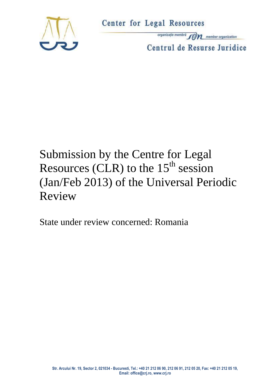

organizație membră **fortului a member organization** Centrul de Resurse Juridice

# Submission by the Centre for Legal Resources (CLR) to the  $15<sup>th</sup>$  session (Jan/Feb 2013) of the Universal Periodic Review

State under review concerned: Romania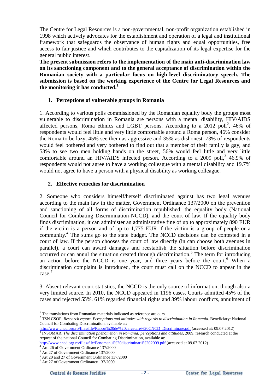The Centre for Legal Resources is a non-governmental, non-profit organization established in 1998 which actively advocates for the establishment and operation of a legal and institutional framework that safeguards the observance of human rights and equal opportunities, free access to fair justice and which contributes to the capitalization of its legal expertise for the general public interest.

**The present submission refers to the implementation of the main anti-discrimination law on its sanctioning component and to the general acceptance of discrimination within the Romanian society with a particular focus on high-level discriminatory speech. The submission is based on the working experience of the Centre for Legal Resources and the monitoring it has conducted.<sup>1</sup>**

# **1. Perceptions of vulnerable groups in Romania**

1. According to various polls commissioned by the Romanian equality body the groups most vulnerable to discrimination in Romania are persons with a mental disability, HIV/AIDS affected persons, Roma ethnics and LGBT persons. According to a 2012 poll<sup>2</sup>, 46% of respondents would feel little and very little comfortable around a Roma person, 46% consider the Roma to be lazy, 45% see them as aggressive and 35% as dishonest. 73% of respondents would feel bothered and very bothered to find out that a member of their family is gay, and 53% to see two men holding hands on the street, 56% would feel little and very little comfortable around an HIV/AIDS infected person. According to a 2009 poll,  $346.9\%$  of respondents would not agree to have a working colleague with a mental disability and 19.7% would not agree to have a person with a physical disability as working colleague.

# **2. Effective remedies for discrimination**

2. Someone who considers himself/herself discriminated against has two legal avenues according to the main law in the matter, Government Ordinance 137/2000 on the prevention and sanctioning of all forms of discrimination republished: the equality body (National Council for Combating Discrimination-NCCD), and the court of law. If the equality body finds discrimination, it can administer an administrative fine of up to approximately 890 EUR if the victim is a person and of up to 1,775 EUR if the victim is a group of people or a community.<sup>4</sup> The sums go to the state budget. The NCCD decisions can be contested in a court of law. If the person chooses the court of law directly (in can choose both avenues in parallel), a court can award damages and reestablish the situation before discrimination occurred or can annul the situation created through discrimination.<sup>5</sup> The term for introducing an action before the NCCD is one year, and three years before the court.<sup>6</sup> When a discrimination complaint is introduced, the court must call on the NCCD to appear in the case.<sup>7</sup>

3. Absent relevant court statistics, the NCCD is the only source of information, though also a very limited source. In 2010, the NCCD appeared in 1196 cases. Courts admitted 45% of the cases and rejected 55%. 61% regarded financial rights and 39% labour conflicts, annulment of

<sup>&</sup>lt;u>.</u>  $1$  The translations from Romanian materials indicated as reference are ours.

<sup>2</sup> TSN CSOP, *Research report. Perceptions and attitudes with regards to discrimination in Romania.* Beneficiary: National Council for Combating Discrimination, available at:

[http://www.cncd.org.ro/files/file/Raport%20de%20cercetare%20CNCD\\_Discriminare.pdf](http://www.cncd.org.ro/files/file/Raport%20de%20cercetare%20CNCD_Discriminare.pdf) (accessed at: 09.07.2012) 3 INSOMAR, *The discrimination phenomenon in Romania: perceptions and attitudes,* 2009, research conducted at the request of the national Council for Combating Discrimination, available at:

<http://www.cncd.org.ro/files/file/Fenomenul%20discriminarii%202009.pdf> (accessed at 09.07.2012)

<sup>4</sup> Art. 26 of Government Ordinance 137/2000

<sup>&</sup>lt;sup>5</sup> Art 27 of Government Ordinance 137/2000

<sup>6</sup> Art 20 and 27 of Government Ordinance 137/2000

<sup>7</sup> Art 27 of Government Ordinance 137/2000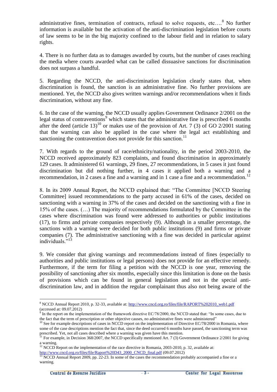administrative fines, termination of contracts, refusal to solve requests, etc....<sup>8</sup> No further information is available but the activation of the anti-discrimination legislation before courts of law seems to be in the big majority confined to the labour field and in relation to salary rights.

4. There is no further data as to damages awarded by courts, but the number of cases reaching the media where courts awarded what can be called dissuasive sanctions for discrimination does not surpass a handful.

5. Regarding the NCCD, the anti-discrimination legislation clearly states that, when discrimination is found, the sanction is an administrative fine. No further provisions are mentioned. Yet, the NCCD also gives written warnings and/or recommendations when it finds discrimination, without any fine.

6. In the case of the warning, the NCCD usually applies Government Ordinance 2/2001 on the legal status of contraventions $9$  which states that the administrative fine is prescribed 6 months after the deed (article 13)<sup>10</sup> or makes use of the provision of Art. 7 (3) of GO 2/2001 stating that the warning can also be applied in the case where the legal act establishing and sanctioning the contravention does not provide for this sanction.<sup>11</sup>

7. With regards to the ground of race/ethnicity/nationality, in the period 2003-2010, the NCCD received approximately 823 complaints, and found discrimination in approximately 129 cases. It administered 61 warnings, 29 fines, 27 recommendations, in 5 cases it just found discrimination but did nothing further, in 4 cases it applied both a warning and a recommendation, in 2 cases a fine and a warning and in 1 case a fine and a recommendation.<sup>12</sup>

8. In its 2009 Annual Report, the NCCD explained that: "The Committee [NCCD Steering Committee] issued recommendations to the party accused in 61% of the cases, decided on sanctioning with a warning in 37% of the cases and decided on the sanctioning with a fine in 15% of the cases. (…) The majority of recommendations formulated by the Committee in the cases where discrimination was found were addressed to authorities or public institutions (17), to firms and private companies respectively (9). Although in a smaller percentage, the sanctions with a warning were decided for both public institutions (9) and firms or private companies (7). The administrative sanctioning with a fine was decided in particular against individuals."<sup>13</sup>

9. We consider that giving warnings and recommendations instead of fines (especially to authorities and public institutions or legal persons) does not provide for an effective remedy. Furthermore, if the term for filing a petition with the NCCD is one year, removing the possibility of sanctioning after six months, especially since this limitation is done on the basis of provisions which can be found in general legislation and not in the special antidiscrimination law, and in addition the regular complainant thus also not being aware of the

[http://www.cncd.org.ro/files/file/Raport%20D43\\_2000\\_CNCD\\_final.pdf](http://www.cncd.org.ro/files/file/Raport%20D43_2000_CNCD_final.pdf) (09.07.2012)

1

<sup>&</sup>lt;sup>8</sup> NCCD Annual Report 2010, p. 32-33, available at: [http://www.cncd.org.ro/files/file/RAPORT%202010\\_web1.pdf](http://www.cncd.org.ro/files/file/RAPORT%202010_web1.pdf) (accessed at:  $09.07.2012$ )

In the report on the implementation of the framework directive EC/78/2000, the NCCD stated that: "In some cases, due to the fact that the term of prescription or other objective causes, no administrative fines were administered"

 $10$  See for example descriptions of cases in NCCD report on the implementation of Directive EC/78/2000 in Romania, where some of the case descriptions mention the fact that, since the deed occurred 6 months have passed, the sanctioning term was prescribed. Yet, not all cases described where a warning was given have this mention.

<sup>&</sup>lt;sup>11</sup> For example, in Decision 368/2007, the NCCD specifically mentioned Art. 7 (3) Government Ordinance 2/2001 for giving a warning.

 $12$  NCCD Report on the implementation of the race directive in Romania, 2003-2010, p. 32, available at:

 $13$  NCCD Annual Report 2009, pp. 22-23. In some of the cases the recommendation probably accompanied a fine or a warning.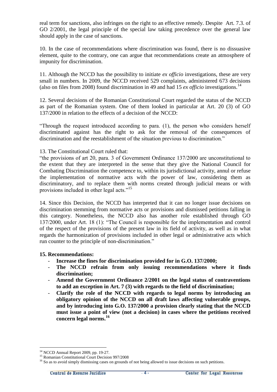real term for sanctions, also infringes on the right to an effective remedy. Despite Art. 7.3. of GO 2/2001, the legal principle of the special law taking precedence over the general law should apply in the case of sanctions.

10. In the case of recommendations where discrimination was found, there is no dissuasive element, quite to the contrary, one can argue that recommendations create an atmosphere of impunity for discrimination.

11. Although the NCCD has the possibility to initiate *ex officio* investigations, these are very small in numbers. In 2009, the NCCD received 529 complaints, administered 673 decisions (also on files from 2008) found discrimination in 49 and had 15  $ex$  *officio* investigations.<sup>14</sup>

12. Several decisions of the Romanian Constitutional Court regarded the status of the NCCD as part of the Romanian system. One of them looked in particular at Art. 20 (3) of GO 137/2000 in relation to the effects of a decision of the NCCD:

"Through the request introduced according to para. (1), the person who considers herself discriminated against has the right to ask for the removal of the consequences of discrimination and the reestablishment of the situation previous to discrimination."

13. The Constitutional Court ruled that:

"the provisions of art 20, para. 3 of Government Ordinance 137/2000 are unconstitutional to the extent that they are interpreted in the sense that they give the National Council for Combating Discrimination the competence to, within its jurisdictional activity, annul or refuse the implementation of normative acts with the power of law, considering them as discriminatory, and to replace them with norms created through judicial means or with provisions included in other legal acts."<sup>15</sup>

14. Since this Decision, the NCCD has interpreted that it can no longer issue decisions on discrimination stemming from normative acts or provisions and dismissed petitions falling in this category. Nonetheless, the NCCD also has another role established through GO 137/2000, under Art. 18 (1): "The Council is responsible for the implementation and control of the respect of the provisions of the present law in its field of activity, as well as in what regards the harmonization of provisions included in other legal or administrative acts which run counter to the principle of non-discrimination."

# **15. Recommendations:**

- **Increase the fines for discrimination provided for in G.O. 137/2000;**
- **The NCCD refrain from only issuing recommendations where it finds discrimination;**
- **Amend the Government Ordinance 2/2001 on the legal status of contraventions to add an exception in Art. 7 (3) with regards to the field of discrimination;**
- **Clarify the role of the NCCD with regards to legal norms by introducing an obligatory opinion of the NCCD on all draft laws affecting vulnerable groups, and by introducing into G.O. 137/2000 a provision clearly stating that the NCCD must issue a point of view (not a decision) in cases where the petitions received concern legal norms.<sup>16</sup>**

<u>.</u>

<sup>&</sup>lt;sup>14</sup> NCCD Annual Report 2009, pp. 19-27.

<sup>15</sup> Romanian Constitutional Court Decision 997/2008

<sup>&</sup>lt;sup>16</sup> So as to avoid simply dismissing cases on grounds of not being allowed to issue decisions on such petitions.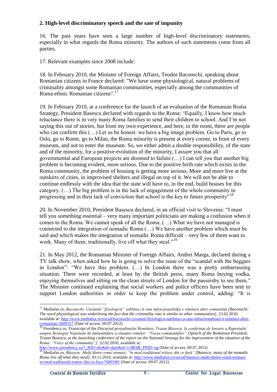# **2. High-level discriminatory speech and the sate of impunity**

16. The past years have seen a large number of high-level discriminatory statements, especially in what regards the Roma minority. The authors of such statements come from all parties.

17. Relevant examples since 2008 include:

18. In February 2010, the Minister of Foreign Affairs, Teodor Baconschi, speaking about Romanian citizens in France declared: "We have some physiological, natural problems of criminality amongst some Romanian communities, especially among the communities of Roma ethnic Romanian citizens".<sup>17</sup>

19. In February 2010, at a conference for the launch of an evaluation of the Romanian Roma Strategy, President Basescu declared with regards to the Roma: "Equally, I know how much reluctance there is in very many Roma families to send their children to school. And I'm not saying this out of stories, but from my own experience, and here, in the room, there are people who can confirm this (…) Let us be honest: we have a big image problem. Go to Paris, go to Oslo, go to Rome, go to Milan, the Roma minority is present at every corner, in front of every museum, and not to enter the museum. So, we either admit a double responsibility, of the state and of the minority, for a positive evolution of the minority, I assure you that all governmental and European projects are doomed to failure (…) I can tell you that another big problem is becoming evident, more serious. Due to the positive birth rate which exists in the Roma community, the problem of housing is getting more serious. More and more live at the outskirts of cities, in improvised shelters and illegal on top of it. We will not be able to continue endlessly with the idea that the state will have to, in the end, build houses for this category. (…) The big problem is in the lack of engagement of the whole community in progressing and in their lack of conviction that school is the key to future prosperity"<sup>18</sup>

20. In November 2010, President Basescu declared, in an official visit to Slovenia: "I must tell you something essential – very many important politicians are making a confusion when it comes to the Roma. We cannot speak of all the Roma. (…) What we have not managed is connected to the integration of nomadic Roma (…) We have another problem which must be said and which makes the integration of nomadic Roma difficult – very few of them want to work. Many of them, traditionally, live off what they steal."<sup>19</sup>

21. In May 2012, the Romanian Minister of Foreign Affairs, Andrei Marga, declared during a TV talk show, when asked how he is going to solve the issue of the "scandal with the beggars in London": "We have this problem. (…) In London there was a pretty embarrassing situation. There were recorded, at least by the British press, many Roma buying vodka, enjoying themselves and sitting on the clean streets of London for the passersby to see them." The Minister continued explaining that social workers and police officers have been sent to support London authorities in order to keep the problem under control, adding: "It is

```
http://www.presidency.ro/?_RID=det&tb=date&id=11883&_PRID=ag (Date of access: 09.07.2012)
```
1

<sup>17</sup> Mediafax.ro, *Baconschi: Cuvântul "fiziologică" sublinia că rata infracţionalităţii e similară altor comunităţi [Baconschi: The word physiological was underlining the fact that the criminality rate is similar to other communities],* 23.02.2010, available at: [http://www.mediafax.ro/social/baconschi-cuvantul-fiziologica-sublinia-ca-rata-infractionalitatii-e-similara-altor](http://www.mediafax.ro/social/baconschi-cuvantul-fiziologica-sublinia-ca-rata-infractionalitatii-e-similara-altor-comunitati-5600317)[comunitati-5600317](http://www.mediafax.ro/social/baconschi-cuvantul-fiziologica-sublinia-ca-rata-infractionalitatii-e-similara-altor-comunitati-5600317) (Date of access: 09.07.2012)

<sup>18</sup> Presidency.ro, Transcript of the *Discursul preşedintelui României, Traian Băsescu, la conferinţa de lansare a Raportului asupra Strategiei Naţionale de îmbunătăţire a situaţiei romilor: "Vocea comunităţilor" [Speech of the Romanian President, Traian Basescu, at the launching conference of the report on the National Strategy for the improvement of the situation of the Roma: "Voice of the community"],* 22.02.2010, available at:

<sup>19</sup> Mediafax.ro, *Băsescu: Mulţi dintre romii nomazi, "în mod tradiţional trăiesc din ce fură" [Basescu: many of the nomadic Roma live off what they steal],* 03.11.2010, available at[: http://www.mediafax.ro/social/basescu-multi-dintre-romii-nomazi](http://www.mediafax.ro/social/basescu-multi-dintre-romii-nomazi-in-mod-traditional-traiesc-din-ce-fura-7689349/)[in-mod-traditional-traiesc-din-ce-fura-7689349/](http://www.mediafax.ro/social/basescu-multi-dintre-romii-nomazi-in-mod-traditional-traiesc-din-ce-fura-7689349/) (Date of access: 09.07.2012)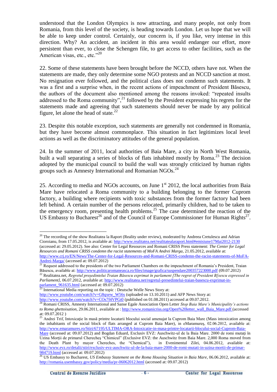understood that the London Olympics is now attracting, and many people, not only from Romania, from this level of the society, is heading towards London. Let us hope that we will be able to keep under control. Certainly, our concern is, if you like, very intense in this direction. Why? An accident, an incident in this area would endanger our effort, more persistent than ever, to close the Schengen file, to get access to other facilities, such as the American visas, etc., etc." $^{20}$ 

22. Some of these statements have been brought before the NCCD, others have not. When the statements are made, they only determine some NGO protests and an NCCD sanction at most. No resignation ever followed, and the political class does not condemn such statements. It was a first and a surprise when, in the recent actions of impeachment of President Băsescu, the authors of the document also mentioned among the reasons invoked: "repeated insults addressed to the Roma community",<sup>21</sup> followed by the President expressing his regrets for the statements made and agreeing that such statements should never be made by any political figure, let alone the head of state.<sup>22</sup>

23. Despite this notable exception, such statements are generally not condemned in Romania, but they have become almost commonplace. This situation in fact legitimizes local level actions as well as the discriminatory attitudes of the general population.

24. In the summer of 2011, local authorities of Baia Mare, a city in North West Romania, built a wall separating a series of blocks of flats inhabited mostly by Roma.<sup>23</sup> The decision adopted by the municipal council to build the wall was strongly criticized by human rights groups such as Amnesty International and Romanian NGOs.<sup>24</sup>

25. According to media and NGOs accounts, on June  $1<sup>st</sup>$  2012, the local authorities from Baia Mare have relocated a Roma community to a building belonging to the former Cuprom factory, a building where recipients with toxic substances from the former factory had been left behind. A certain number of the persons relocated, primarily children, had to be taken to the emergency room, presenting health problems.<sup>25</sup> The case determined the reaction of the US Embassy to Bucharest<sup>26</sup> and of the Council of Europe Commissioner for Human Rights<sup>27</sup>.

<sup>1</sup>  $^{20}$  The recording of the show Realitatea la Raport (Reality under review), moderated by Andreea Cretulescu and Adrian Cioroianu, from 17.05.2012, is available at[: http://www.realitatea.net/realitatealaraport.html#emisiune17Mai2012-2130](http://www.realitatea.net/realitatealaraport.html#emisiune17Mai2012-2130) (accessed at: 29.05.2012). See also: Center for Legal Resources and Romani CRISS Press statement: *The Center for Legal Resources and Romani CRISS condemn the racist statements of MoFA Andrei Marga,* 21.05.2012, available at: [http://www.crj.ro/EN/News/The-Center-for-Legal-Resources-and-Romani-CRISS-condemn-the-racist-statements-of-MoFA-](http://www.crj.ro/EN/News/The-Center-for-Legal-Resources-and-Romani-CRISS-condemn-the-racist-statements-of-MoFA-Andrei-Marga/)[Andrei-Marga/](http://www.crj.ro/EN/News/The-Center-for-Legal-Resources-and-Romani-CRISS-condemn-the-racist-statements-of-MoFA-Andrei-Marga/) (accessed at: 09.07.2012)

<sup>&</sup>lt;sup>21</sup> Request addressed to the presidents of the two Parliament Chambers on the impeachment of Romania's President, Traian Băsescu, available at:<http://www.politicaromaneasca.ro/files/image/grafica/suspendare200357223000.pdf> (09.07.2012) <sup>22</sup> Realitatea.net, *Regretul preşedintelui Traian Băsescu exprimat în parlament [The regret of President B[sescu expressed in* 

*Parliament],* 06.07.2012, available at[: http://www.realitatea.net/regretul-presedintelui-traian-basescu-exprimat-in](http://www.realitatea.net/regretul-presedintelui-traian-basescu-exprimat-in-parlament_961635.html)[parlament\\_961635.html](http://www.realitatea.net/regretul-presedintelui-traian-basescu-exprimat-in-parlament_961635.html) (accessed at: 09.07.2012)

 $^{23}$  International Media reporting on the topic : Deutsche Welle News Story at: [http://www.youtube.com/watch?v=G8qxew\\_W56s](http://www.youtube.com/watch?v=G8qxew_W56s) (uploaded on 13.10.2011) and AFP News Story at:

<http://www.youtube.com/watch?v=COs7f4VPGt0> (published on 01.08.2011) accessed at 09.07.2012.

<sup>24</sup> Romani CRISS, Amnesty International and Sanse Egale Association Open Letter *Stop Baia Mare's Municipality's actions to Roma ghettoisation*, 29.06.2011, available at [: http://www.romanicriss.org/Open%20letter\\_wall\\_Baia\\_Mare.pdf](http://www.romanicriss.org/Open%20letter_wall_Baia_Mare.pdf) (accessed at: 09.07.2012 )

<sup>&</sup>lt;sup>25</sup> Andrei Trif, Intoxicație în masă printre locatarii blocului social amenajat la Cuprom Baia Mare (Mass intoxication among the inhabitants of the social block of flats arranged at Cuprom Baia Mare), in eMaramureş, 02.06.2012, available at: [http://www.emaramures.ro/Stiri/67195/ULTIMA-ORA-Intoxicatie-in-masa-printre-locatarii-blocului-social-Cuprom-Baia-](http://www.emaramures.ro/Stiri/67195/ULTIMA-ORA-Intoxicatie-in-masa-printre-locatarii-blocului-social-Cuprom-Baia-Mare)

[Mare](http://www.emaramures.ro/Stiri/67195/ULTIMA-ORA-Intoxicatie-in-masa-printre-locatarii-blocului-social-Cuprom-Baia-Mare) (accessed at: 09.07.2012) and Bogdan Eduard, Exclusiv EVZ: Auschwitz-ul de la Baia Mare. 2000 de romi mutați în Uzina Morții de primarul Cherecheş "Chimicul" (Exclusive EVZ: the Auschwitz from Baia Mare. 2,000 Roma moved from the Death Plant by mayor Chereches, the "Chemical"), in Evenimentul Zilei, 04.06.2012, available at: [http://www.evz.ro/detalii/stiri/exclusiv-evz-auschwitz-ul-de-la-baia-mare-2000-de-romi-mutati-in-uzina-mortii-de-primar-](http://www.evz.ro/detalii/stiri/exclusiv-evz-auschwitz-ul-de-la-baia-mare-2000-de-romi-mutati-in-uzina-mortii-de-primar-984719/pagina-comentarii/toate-comentariile.html#comentarii)[984719.html](http://www.evz.ro/detalii/stiri/exclusiv-evz-auschwitz-ul-de-la-baia-mare-2000-de-romi-mutati-in-uzina-mortii-de-primar-984719/pagina-comentarii/toate-comentariile.html#comentarii) (accessed at: 09.07.2012)

<sup>26</sup> US Embassy to Bucharest, *US Embassy Statement on the Roma Housing Situation in Baia Mare*, 06.06.2012, available at: <http://romania.usembassy.gov/policy/media/pr-06062012.html> (accessed at: 09.07.2012)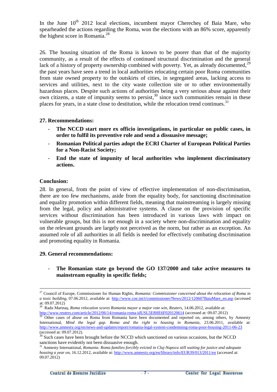In the June  $10<sup>th</sup>$  2012 local elections, incumbent mayor Chereches of Baia Mare, who spearheaded the actions regarding the Roma, won the elections with an 86% score, apparently the highest score in Romania.<sup>28</sup>

26. The housing situation of the Roma is known to be poorer than that of the majority community, as a result of the effects of continued structural discrimination and the general lack of a history of property ownership combined with poverty. Yet, as already documented,  $^{29}$ the past years have seen a trend in local authorities relocating certain poor Roma communities from state owned property to the outskirts of cities, in segregated areas, lacking access to services and utilities, next to the city waste collection site or to other environmentally hazardous places. Despite such actions of authorities being a very serious abuse against their own citizens, a state of impunity seems to persist, <sup>30</sup> since such communities remain in these places for years, in a state close to destitution, while the relocation trend continues.<sup>31</sup>

#### **27. Recommendations:**

- **The NCCD start more ex officio investigations, in particular on public cases, in order to fulfil its preventive role and send a dissuasive message;**
- **Romanian Political parties adopt the ECRI Charter of European Political Parties for a Non-Racist Society;**
- **End the state of impunity of local authorities who implement discriminatory actions.**

#### **Conclusion:**

1

28. In general, from the point of view of effective implementation of non-discrimination, there are too few mechanisms, aside from the equality body, for sanctioning discrimination and equality promotion within different fields, meaning that mainstreaming is largely missing from the legal, policy and administrative systems. A clause on the provision of specific services without discrimination has been introduced in various laws with impact on vulnerable groups, but this is not enough in a society where non-discrimination and equality on the relevant grounds are largely not perceived as the norm, but rather as an exception. An assumed role of all authorities in all fields is needed for effectively combating discrimination and promoting equality in Romania.

#### **29. General recommendations:**

The Romanian state go beyond the GO 137/2000 and take active measures to **mainstream equality in specific fields;**

<sup>27</sup> Council of Europe, Commissioner for Human Rights, *Romania: Commissioner concerned about the relocation of Roma in a toxic building*, 07.06.2012, available at: [http://www.coe.int/t/commissioner/News/2012/120607BaiaMare\\_en.asp](http://www.coe.int/t/commissioner/News/2012/120607BaiaMare_en.asp) (accessed at: 09.07.2012)

<sup>&</sup>lt;sup>28</sup> Radu Marinaş, *Roma relocation scores Romania mayor a major vote win, Reuters, 14.06.2012, available at:* <http://www.reuters.com/article/2012/06/14/romania-roma-idUSL5E8HE6F020120614> (accessed at: 09.07.2012)

 $29$  Other cases of abuse on Roma from Romania have been documented and reported on, among others, by Amnesty International, *Mind the legal gap. Roma and the right to housing in Romania,* 23.06.2011, available at: <http://www.amnesty.org/en/news-and-updates/report/romania-legal-system-condemning-roma-poor-housing-2011-06-23> (accessed at: 09.07.2012).

 $30$  Such cases have been brought before the NCCD which sanctioned on various occasions, but the NCCD sanctions have evidently not been dissuasive enough.

<sup>31</sup> Amnesty International, *Romania: Roma families forcibly evicted in Cluj-Napoca still waiting for justice and adequate housing a year on,* 16.12.2012, available at[: http://www.amnesty.org/en/library/info/EUR39/013/2011/en](http://www.amnesty.org/en/library/info/EUR39/013/2011/en) (accessed at: 09.07.2012)